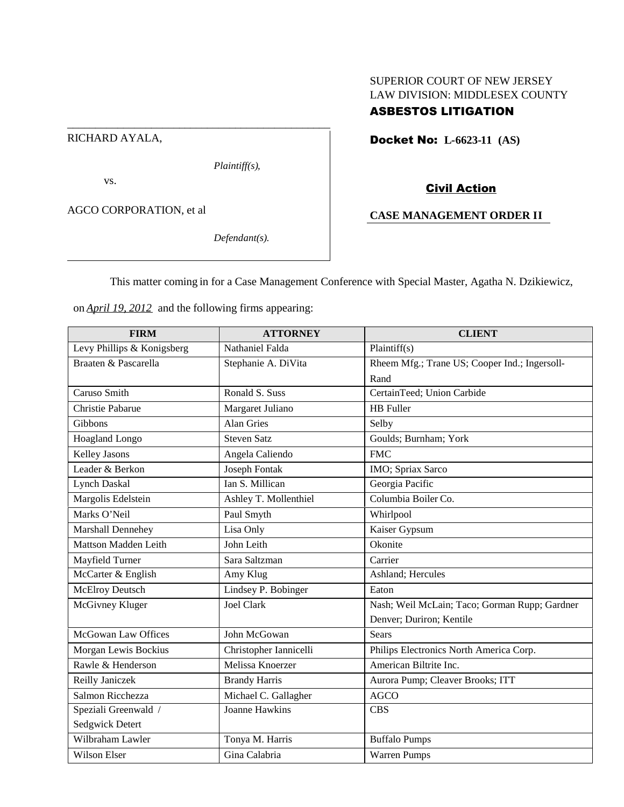# SUPERIOR COURT OF NEW JERSEY LAW DIVISION: MIDDLESEX COUNTY

# ASBESTOS LITIGATION

RICHARD AYALA,

*Plaintiff(s),*

vs.

AGCO CORPORATION, et al

*Defendant(s).*

Docket No: **L-6623-11 (AS)**

# Civil Action

# **CASE MANAGEMENT ORDER II**

This matter coming in for a Case Management Conference with Special Master, Agatha N. Dzikiewicz,

on *April 19, 2012* and the following firms appearing:

\_\_\_\_\_\_\_\_\_\_\_\_\_\_\_\_\_\_\_\_\_\_\_\_\_\_\_\_\_\_\_\_\_\_\_\_\_\_\_\_\_\_\_\_\_\_\_

| <b>FIRM</b>                | <b>ATTORNEY</b>        | <b>CLIENT</b>                                 |
|----------------------------|------------------------|-----------------------------------------------|
| Levy Phillips & Konigsberg | Nathaniel Falda        | Plaintiff(s)                                  |
| Braaten & Pascarella       | Stephanie A. DiVita    | Rheem Mfg.; Trane US; Cooper Ind.; Ingersoll- |
|                            |                        | Rand                                          |
| Caruso Smith               | Ronald S. Suss         | CertainTeed; Union Carbide                    |
| Christie Pabarue           | Margaret Juliano       | <b>HB</b> Fuller                              |
| Gibbons                    | <b>Alan Gries</b>      | Selby                                         |
| Hoagland Longo             | <b>Steven Satz</b>     | Goulds; Burnham; York                         |
| <b>Kelley Jasons</b>       | Angela Caliendo        | <b>FMC</b>                                    |
| Leader & Berkon            | <b>Joseph Fontak</b>   | IMO; Spriax Sarco                             |
| <b>Lynch Daskal</b>        | Ian S. Millican        | Georgia Pacific                               |
| Margolis Edelstein         | Ashley T. Mollenthiel  | Columbia Boiler Co.                           |
| Marks O'Neil               | Paul Smyth             | Whirlpool                                     |
| Marshall Dennehey          | Lisa Only              | Kaiser Gypsum                                 |
| Mattson Madden Leith       | John Leith             | Okonite                                       |
| Mayfield Turner            | Sara Saltzman          | Carrier                                       |
| McCarter & English         | Amy Klug               | Ashland; Hercules                             |
| McElroy Deutsch            | Lindsey P. Bobinger    | Eaton                                         |
| McGivney Kluger            | <b>Joel Clark</b>      | Nash; Weil McLain; Taco; Gorman Rupp; Gardner |
|                            |                        | Denver; Duriron; Kentile                      |
| McGowan Law Offices        | John McGowan           | <b>Sears</b>                                  |
| Morgan Lewis Bockius       | Christopher Iannicelli | Philips Electronics North America Corp.       |
| Rawle & Henderson          | Melissa Knoerzer       | American Biltrite Inc.                        |
| Reilly Janiczek            | <b>Brandy Harris</b>   | Aurora Pump; Cleaver Brooks; ITT              |
| Salmon Ricchezza           | Michael C. Gallagher   | <b>AGCO</b>                                   |
| Speziali Greenwald /       | <b>Joanne Hawkins</b>  | <b>CBS</b>                                    |
| Sedgwick Detert            |                        |                                               |
| Wilbraham Lawler           | Tonya M. Harris        | <b>Buffalo Pumps</b>                          |
| Wilson Elser               | Gina Calabria          | <b>Warren Pumps</b>                           |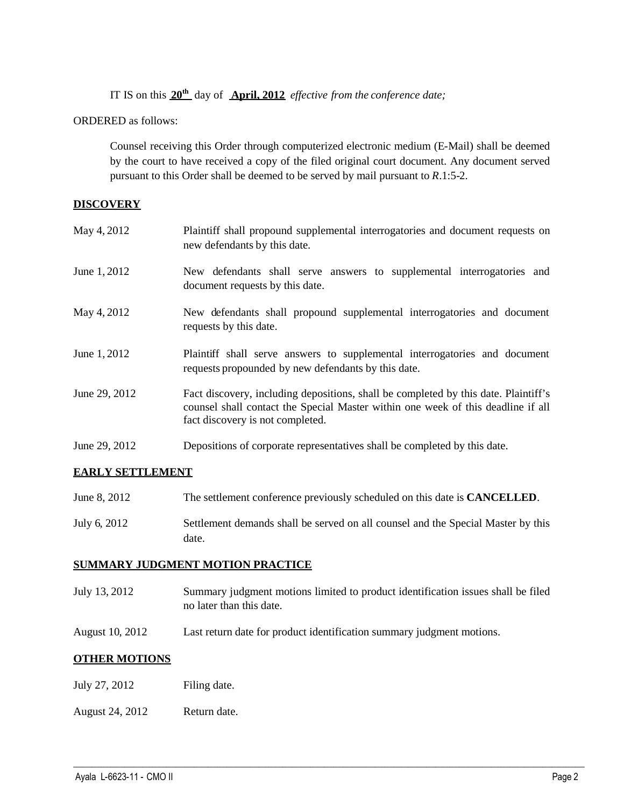IT IS on this **20th** day of **April, 2012** *effective from the conference date;*

ORDERED as follows:

Counsel receiving this Order through computerized electronic medium (E-Mail) shall be deemed by the court to have received a copy of the filed original court document. Any document served pursuant to this Order shall be deemed to be served by mail pursuant to *R*.1:5-2.

### **DISCOVERY**

| May 4, 2012   | Plaintiff shall propound supplemental interrogatories and document requests on<br>new defendants by this date.                                                                                              |
|---------------|-------------------------------------------------------------------------------------------------------------------------------------------------------------------------------------------------------------|
| June 1, 2012  | New defendants shall serve answers to supplemental interrogatories and<br>document requests by this date.                                                                                                   |
| May 4, 2012   | New defendants shall propound supplemental interrogatories and document<br>requests by this date.                                                                                                           |
| June 1, 2012  | Plaintiff shall serve answers to supplemental interrogatories and document<br>requests propounded by new defendants by this date.                                                                           |
| June 29, 2012 | Fact discovery, including depositions, shall be completed by this date. Plaintiff's<br>counsel shall contact the Special Master within one week of this deadline if all<br>fact discovery is not completed. |
| June 29, 2012 | Depositions of corporate representatives shall be completed by this date.                                                                                                                                   |

## **EARLY SETTLEMENT**

- June 8, 2012 The settlement conference previously scheduled on this date is **CANCELLED**.
- July 6, 2012 Settlement demands shall be served on all counsel and the Special Master by this date.

### **SUMMARY JUDGMENT MOTION PRACTICE**

July 13, 2012 Summary judgment motions limited to product identification issues shall be filed no later than this date.

 $\_$  ,  $\_$  ,  $\_$  ,  $\_$  ,  $\_$  ,  $\_$  ,  $\_$  ,  $\_$  ,  $\_$  ,  $\_$  ,  $\_$  ,  $\_$  ,  $\_$  ,  $\_$  ,  $\_$  ,  $\_$  ,  $\_$  ,  $\_$  ,  $\_$  ,  $\_$  ,  $\_$  ,  $\_$  ,  $\_$  ,  $\_$  ,  $\_$  ,  $\_$  ,  $\_$  ,  $\_$  ,  $\_$  ,  $\_$  ,  $\_$  ,  $\_$  ,  $\_$  ,  $\_$  ,  $\_$  ,  $\_$  ,  $\_$  ,

August 10, 2012 Last return date for product identification summary judgment motions.

## **OTHER MOTIONS**

- July 27, 2012 Filing date.
- August 24, 2012 Return date.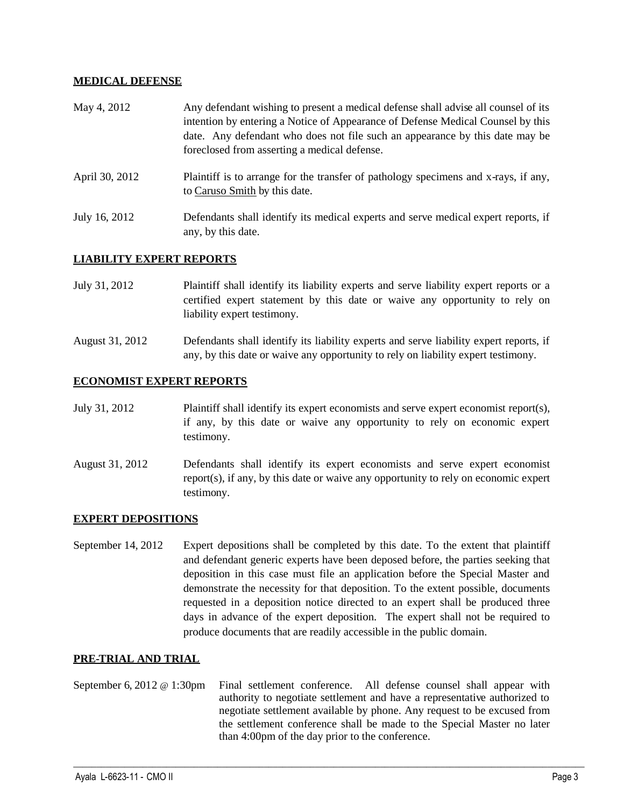### **MEDICAL DEFENSE**

| May 4, 2012    | Any defendant wishing to present a medical defense shall advise all counsel of its<br>intention by entering a Notice of Appearance of Defense Medical Counsel by this<br>date. Any defendant who does not file such an appearance by this date may be<br>foreclosed from asserting a medical defense. |
|----------------|-------------------------------------------------------------------------------------------------------------------------------------------------------------------------------------------------------------------------------------------------------------------------------------------------------|
| April 30, 2012 | Plaintiff is to arrange for the transfer of pathology specimens and x-rays, if any,<br>to Caruso Smith by this date.                                                                                                                                                                                  |
| July 16, 2012  | Defendants shall identify its medical experts and serve medical expert reports, if<br>any, by this date.                                                                                                                                                                                              |

### **LIABILITY EXPERT REPORTS**

- July 31, 2012 Plaintiff shall identify its liability experts and serve liability expert reports or a certified expert statement by this date or waive any opportunity to rely on liability expert testimony.
- August 31, 2012 Defendants shall identify its liability experts and serve liability expert reports, if any, by this date or waive any opportunity to rely on liability expert testimony.

### **ECONOMIST EXPERT REPORTS**

- July 31, 2012 Plaintiff shall identify its expert economists and serve expert economist report(s), if any, by this date or waive any opportunity to rely on economic expert testimony.
- August 31, 2012 Defendants shall identify its expert economists and serve expert economist report(s), if any, by this date or waive any opportunity to rely on economic expert testimony.

### **EXPERT DEPOSITIONS**

September 14, 2012 Expert depositions shall be completed by this date. To the extent that plaintiff and defendant generic experts have been deposed before, the parties seeking that deposition in this case must file an application before the Special Master and demonstrate the necessity for that deposition. To the extent possible, documents requested in a deposition notice directed to an expert shall be produced three days in advance of the expert deposition. The expert shall not be required to produce documents that are readily accessible in the public domain.

### **PRE-TRIAL AND TRIAL**

September 6, 2012 @ 1:30pm Final settlement conference. All defense counsel shall appear with authority to negotiate settlement and have a representative authorized to negotiate settlement available by phone. Any request to be excused from the settlement conference shall be made to the Special Master no later than 4:00pm of the day prior to the conference.

 $\_$  ,  $\_$  ,  $\_$  ,  $\_$  ,  $\_$  ,  $\_$  ,  $\_$  ,  $\_$  ,  $\_$  ,  $\_$  ,  $\_$  ,  $\_$  ,  $\_$  ,  $\_$  ,  $\_$  ,  $\_$  ,  $\_$  ,  $\_$  ,  $\_$  ,  $\_$  ,  $\_$  ,  $\_$  ,  $\_$  ,  $\_$  ,  $\_$  ,  $\_$  ,  $\_$  ,  $\_$  ,  $\_$  ,  $\_$  ,  $\_$  ,  $\_$  ,  $\_$  ,  $\_$  ,  $\_$  ,  $\_$  ,  $\_$  ,